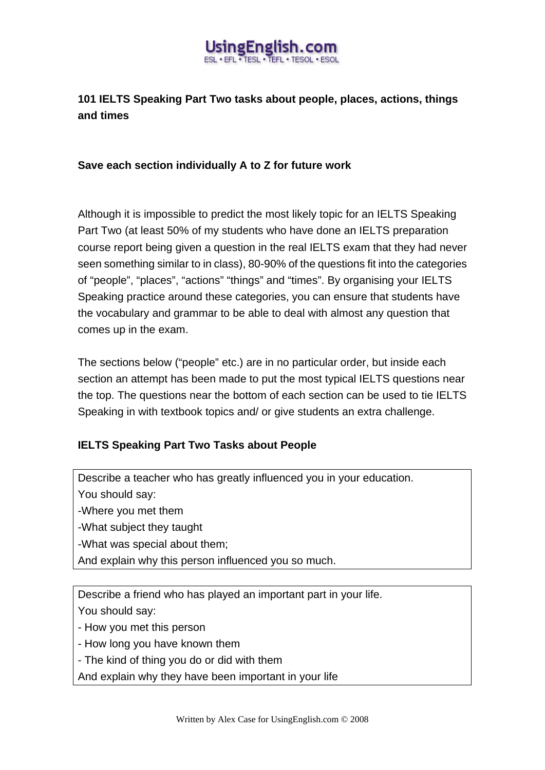

## **101 IELTS Speaking Part Two tasks about people, places, actions, things and times**

#### **Save each section individually A to Z for future work**

Although it is impossible to predict the most likely topic for an IELTS Speaking Part Two (at least 50% of my students who have done an IELTS preparation course report being given a question in the real IELTS exam that they had never seen something similar to in class), 80-90% of the questions fit into the categories of "people", "places", "actions" "things" and "times". By organising your IELTS Speaking practice around these categories, you can ensure that students have the vocabulary and grammar to be able to deal with almost any question that comes up in the exam.

The sections below ("people" etc.) are in no particular order, but inside each section an attempt has been made to put the most typical IELTS questions near the top. The questions near the bottom of each section can be used to tie IELTS Speaking in with textbook topics and/ or give students an extra challenge.

#### **IELTS Speaking Part Two Tasks about People**

Describe a teacher who has greatly influenced you in your education. You should say: -Where you met them -What subject they taught -What was special about them; And explain why this person influenced you so much.

Describe a friend who has played an important part in your life.

You should say:

- How you met this person

- How long you have known them
- The kind of thing you do or did with them
- And explain why they have been important in your life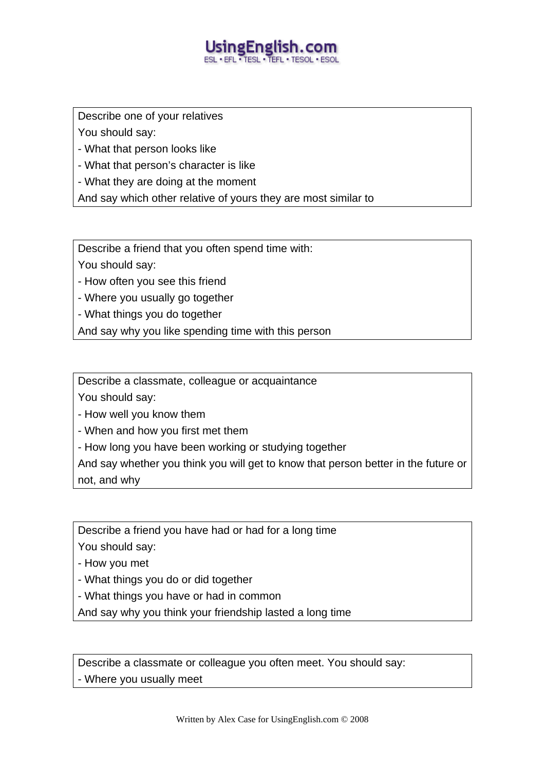## king Fnglish **ESL · EFL · TESL · TEFL · TESOL**

Describe one of your relatives

You should say:

- What that person looks like
- What that person's character is like
- What they are doing at the moment

And say which other relative of yours they are most similar to

Describe a friend that you often spend time with:

You should say:

- How often you see this friend
- Where you usually go together
- What things you do together
- And say why you like spending time with this person

Describe a classmate, colleague or acquaintance

You should say:

- How well you know them
- When and how you first met them
- How long you have been working or studying together

And say whether you think you will get to know that person better in the future or not, and why

Describe a friend you have had or had for a long time You should say:

- How you met
- What things you do or did together
- What things you have or had in common

And say why you think your friendship lasted a long time

Describe a classmate or colleague you often meet. You should say:

- Where you usually meet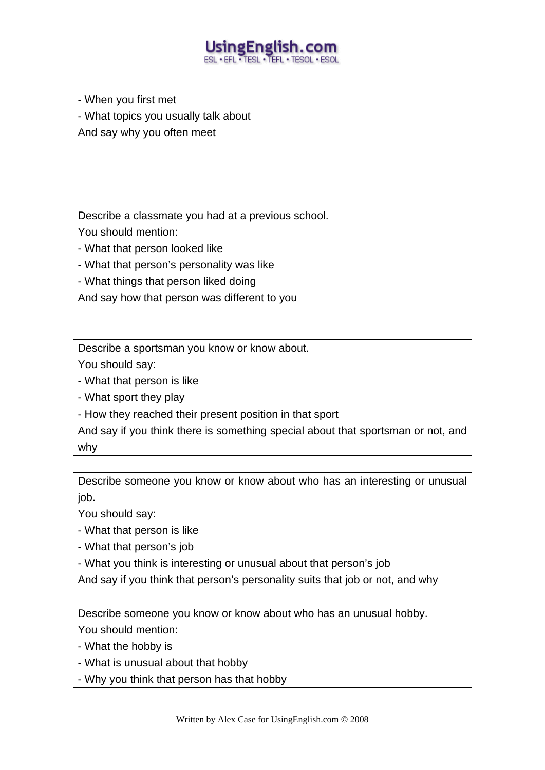## ingEnglish . TESL . TEFL . TESOL . E

- When you first met
- What topics you usually talk about
- And say why you often meet

Describe a classmate you had at a previous school.

You should mention:

- What that person looked like
- What that person's personality was like
- What things that person liked doing

And say how that person was different to you

Describe a sportsman you know or know about.

You should say:

- What that person is like

- What sport they play

- How they reached their present position in that sport

And say if you think there is something special about that sportsman or not, and why

Describe someone you know or know about who has an interesting or unusual iob.

You should say:

- What that person is like
- What that person's job
- What you think is interesting or unusual about that person's job
- And say if you think that person's personality suits that job or not, and why

Describe someone you know or know about who has an unusual hobby. You should mention:

- What the hobby is
- What is unusual about that hobby
- Why you think that person has that hobby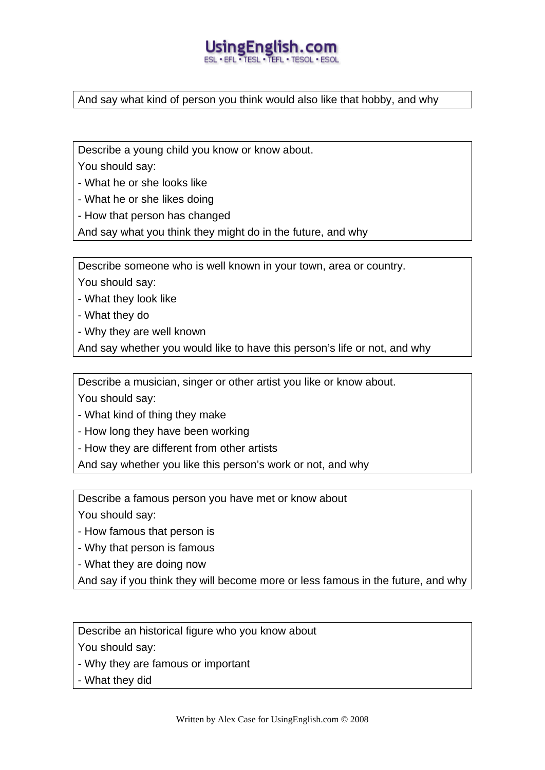# ingEnglish

#### And say what kind of person you think would also like that hobby, and why

Describe a young child you know or know about.

You should say:

- What he or she looks like
- What he or she likes doing
- How that person has changed

And say what you think they might do in the future, and why

Describe someone who is well known in your town, area or country.

- You should say:
- What they look like
- What they do
- Why they are well known
- And say whether you would like to have this person's life or not, and why

Describe a musician, singer or other artist you like or know about.

You should say:

- What kind of thing they make
- How long they have been working
- How they are different from other artists

And say whether you like this person's work or not, and why

Describe a famous person you have met or know about

You should say:

- How famous that person is
- Why that person is famous
- What they are doing now

And say if you think they will become more or less famous in the future, and why

Describe an historical figure who you know about

You should say:

- Why they are famous or important
- What they did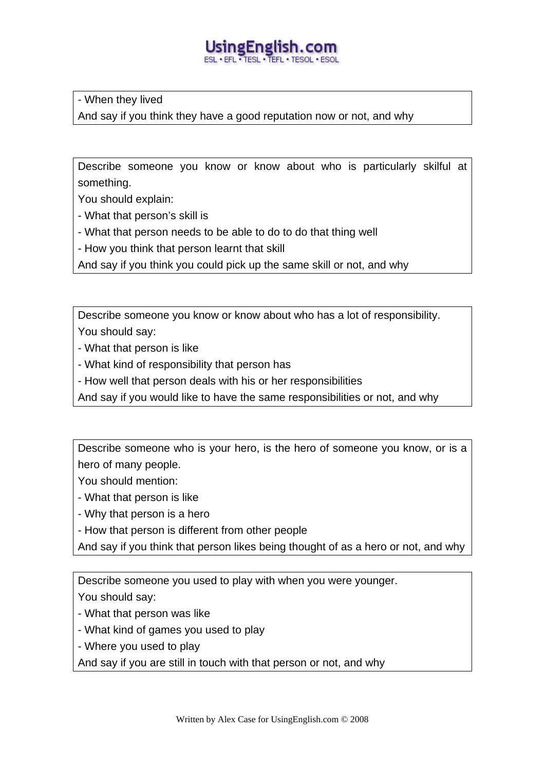- When they lived

And say if you think they have a good reputation now or not, and why

Describe someone you know or know about who is particularly skilful at something.

You should explain:

- What that person's skill is
- What that person needs to be able to do to do that thing well
- How you think that person learnt that skill
- And say if you think you could pick up the same skill or not, and why

Describe someone you know or know about who has a lot of responsibility. You should say:

- What that person is like
- What kind of responsibility that person has
- How well that person deals with his or her responsibilities
- And say if you would like to have the same responsibilities or not, and why

Describe someone who is your hero, is the hero of someone you know, or is a hero of many people.

You should mention:

- What that person is like
- Why that person is a hero
- How that person is different from other people

And say if you think that person likes being thought of as a hero or not, and why

Describe someone you used to play with when you were younger.

You should say:

- What that person was like
- What kind of games you used to play
- Where you used to play

And say if you are still in touch with that person or not, and why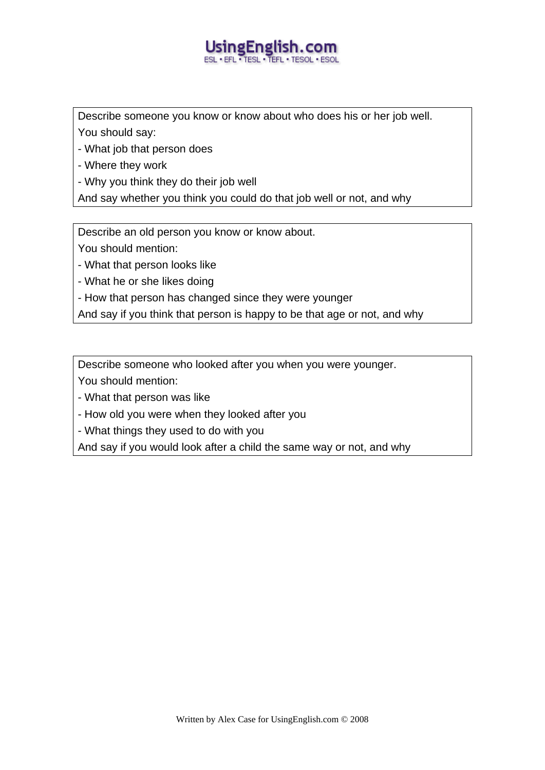## UsingEnglish.co ESL · EFL · TESL · TEFL · TESOL · ES

Describe someone you know or know about who does his or her job well. You should say:

- What job that person does

- Where they work

- Why you think they do their job well

And say whether you think you could do that job well or not, and why

Describe an old person you know or know about.

You should mention:

- What that person looks like

- What he or she likes doing

- How that person has changed since they were younger

And say if you think that person is happy to be that age or not, and why

Describe someone who looked after you when you were younger.

You should mention:

- What that person was like

- How old you were when they looked after you

- What things they used to do with you

And say if you would look after a child the same way or not, and why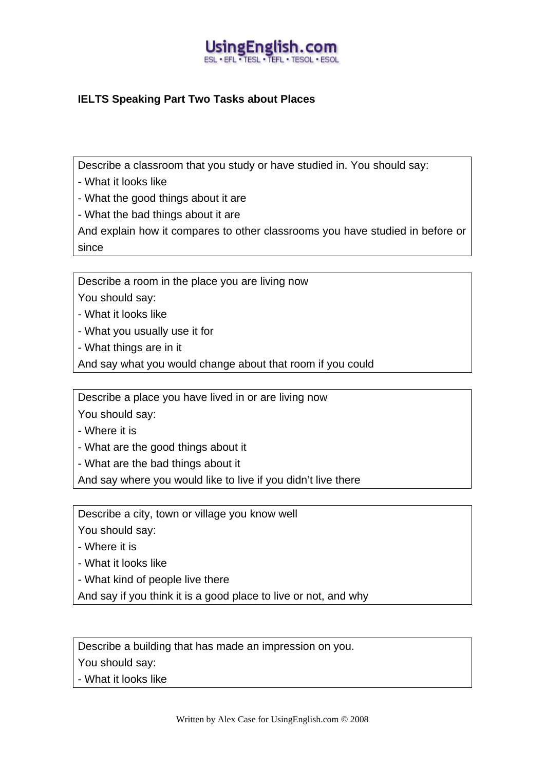

## **IELTS Speaking Part Two Tasks about Places**

Describe a classroom that you study or have studied in. You should say:

- What it looks like
- What the good things about it are
- What the bad things about it are

And explain how it compares to other classrooms you have studied in before or since

Describe a room in the place you are living now

You should say:

- What it looks like

- What you usually use it for
- What things are in it
- And say what you would change about that room if you could

Describe a place you have lived in or are living now

You should say:

- Where it is
- What are the good things about it
- What are the bad things about it

And say where you would like to live if you didn't live there

Describe a city, town or village you know well

You should say:

- Where it is
- What it looks like
- What kind of people live there

And say if you think it is a good place to live or not, and why

Describe a building that has made an impression on you.

You should say:

- What it looks like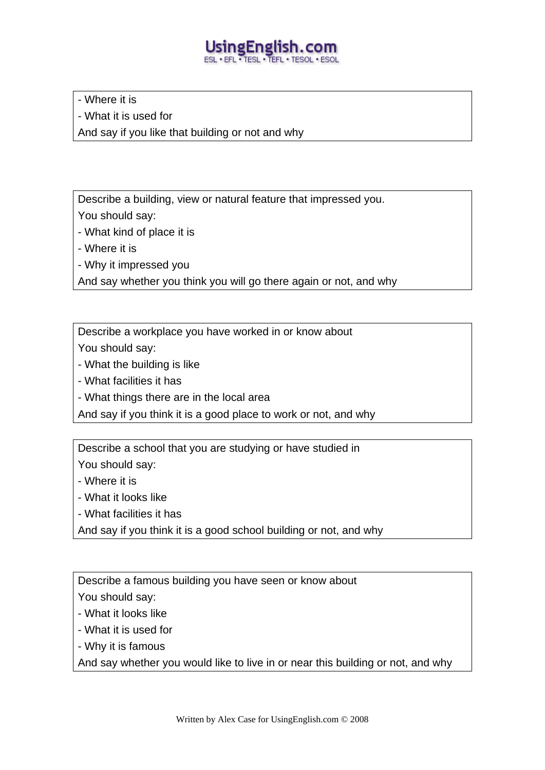## UsingEnglish.cor . TESL . TEFL . TESOL . ES

- Where it is
- What it is used for

And say if you like that building or not and why

Describe a building, view or natural feature that impressed you.

- You should say:
- What kind of place it is
- Where it is
- Why it impressed you

And say whether you think you will go there again or not, and why

Describe a workplace you have worked in or know about

- You should say:
- What the building is like
- What facilities it has
- What things there are in the local area

And say if you think it is a good place to work or not, and why

Describe a school that you are studying or have studied in

You should say:

- Where it is
- What it looks like
- What facilities it has

And say if you think it is a good school building or not, and why

Describe a famous building you have seen or know about You should say:

- What it looks like
- What it is used for
- Why it is famous

And say whether you would like to live in or near this building or not, and why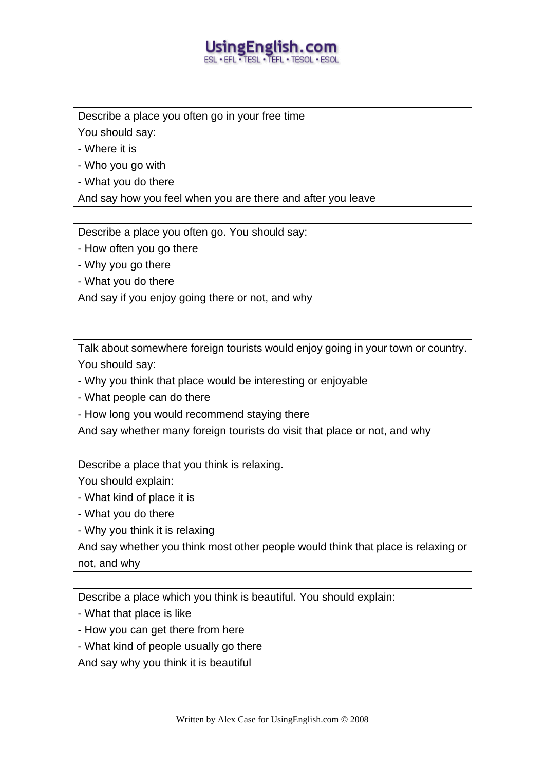Describe a place you often go in your free time

You should say:

- Where it is

- Who you go with

- What you do there

And say how you feel when you are there and after you leave

JsingEnglish ESL · EFL · TESL · TEFL · TESOL · ES

Describe a place you often go. You should say:

- How often you go there

- Why you go there

- What you do there

And say if you enjoy going there or not, and why

Talk about somewhere foreign tourists would enjoy going in your town or country. You should say:

- Why you think that place would be interesting or enjoyable

- What people can do there

- How long you would recommend staying there

And say whether many foreign tourists do visit that place or not, and why

Describe a place that you think is relaxing.

You should explain:

- What kind of place it is

- What you do there

- Why you think it is relaxing

And say whether you think most other people would think that place is relaxing or not, and why

Describe a place which you think is beautiful. You should explain:

- What that place is like

- How you can get there from here

- What kind of people usually go there

And say why you think it is beautiful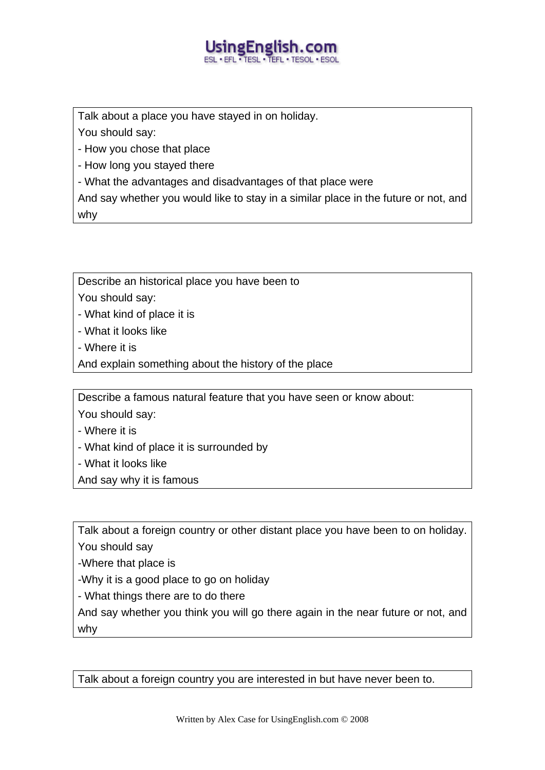Talk about a place you have stayed in on holiday. You should say:

- How you chose that place

- How long you stayed there

- What the advantages and disadvantages of that place were

And say whether you would like to stay in a similar place in the future or not, and why

kingFnglish ESL · EFL · TESL · TEFL · TESOL · ES

Describe an historical place you have been to

You should say:

- What kind of place it is

- What it looks like

- Where it is

And explain something about the history of the place

Describe a famous natural feature that you have seen or know about:

You should say:

- Where it is

- What kind of place it is surrounded by

- What it looks like

And say why it is famous

Talk about a foreign country or other distant place you have been to on holiday. You should say

-Where that place is

-Why it is a good place to go on holiday

- What things there are to do there

And say whether you think you will go there again in the near future or not, and why

Talk about a foreign country you are interested in but have never been to.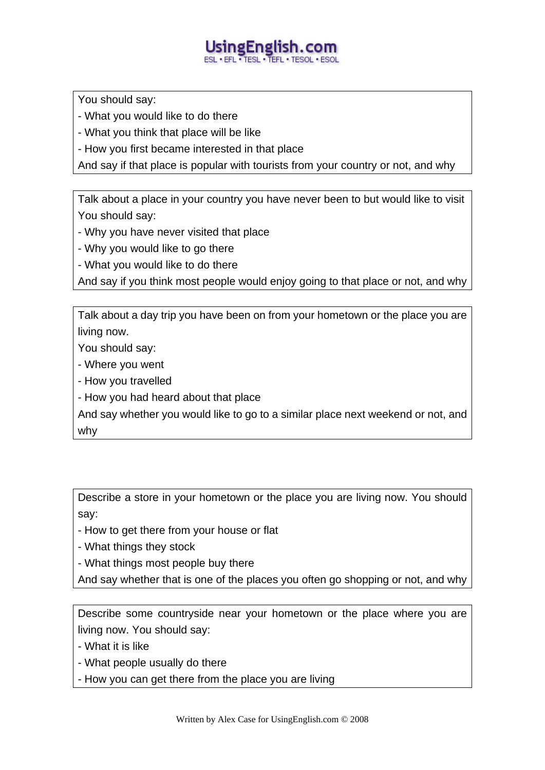## ingEnglish TESL . TEEL . TESOL

You should say:

- What you would like to do there
- What you think that place will be like
- How you first became interested in that place

And say if that place is popular with tourists from your country or not, and why

Talk about a place in your country you have never been to but would like to visit You should say:

- Why you have never visited that place
- Why you would like to go there
- What you would like to do there

And say if you think most people would enjoy going to that place or not, and why

Talk about a day trip you have been on from your hometown or the place you are living now.

You should say:

- Where you went

- How you travelled

- How you had heard about that place

And say whether you would like to go to a similar place next weekend or not, and why

Describe a store in your hometown or the place you are living now. You should say:

- How to get there from your house or flat

- What things they stock
- What things most people buy there
- And say whether that is one of the places you often go shopping or not, and why

Describe some countryside near your hometown or the place where you are living now. You should say:

- What it is like
- What people usually do there
- How you can get there from the place you are living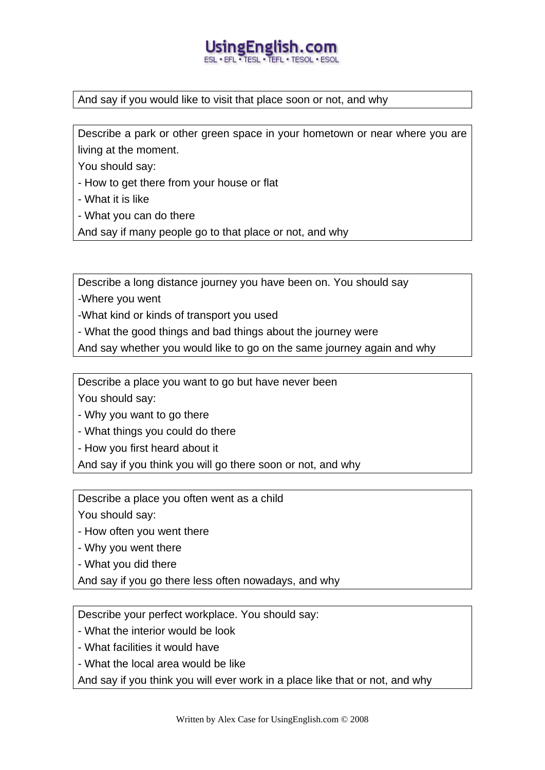# ingFnglish

And say if you would like to visit that place soon or not, and why

Describe a park or other green space in your hometown or near where you are living at the moment.

You should say:

- How to get there from your house or flat
- What it is like
- What you can do there

And say if many people go to that place or not, and why

Describe a long distance journey you have been on. You should say

-Where you went

-What kind or kinds of transport you used

- What the good things and bad things about the journey were

And say whether you would like to go on the same journey again and why

Describe a place you want to go but have never been

You should say:

- Why you want to go there

- What things you could do there

- How you first heard about it

And say if you think you will go there soon or not, and why

Describe a place you often went as a child

You should say:

- How often you went there
- Why you went there
- What you did there
- And say if you go there less often nowadays, and why

Describe your perfect workplace. You should say:

- What the interior would be look
- What facilities it would have
- What the local area would be like

And say if you think you will ever work in a place like that or not, and why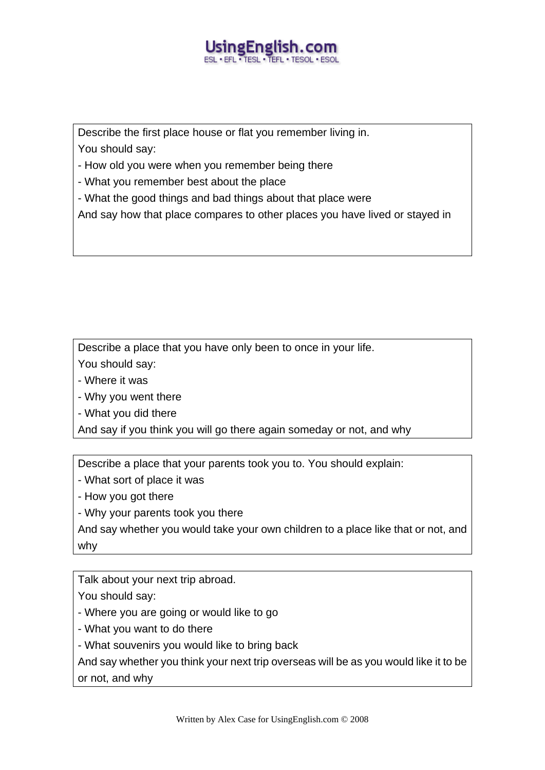#### UsingEnglish.co ESL · EFL · TESL · TEFL · TESOL · ES

Describe the first place house or flat you remember living in. You should say:

- How old you were when you remember being there

- What you remember best about the place

- What the good things and bad things about that place were

And say how that place compares to other places you have lived or stayed in

Describe a place that you have only been to once in your life.

You should say:

- Where it was
- Why you went there
- What you did there

And say if you think you will go there again someday or not, and why

Describe a place that your parents took you to. You should explain:

- What sort of place it was
- How you got there
- Why your parents took you there

And say whether you would take your own children to a place like that or not, and why

Talk about your next trip abroad.

You should say:

- Where you are going or would like to go
- What you want to do there
- What souvenirs you would like to bring back

And say whether you think your next trip overseas will be as you would like it to be or not, and why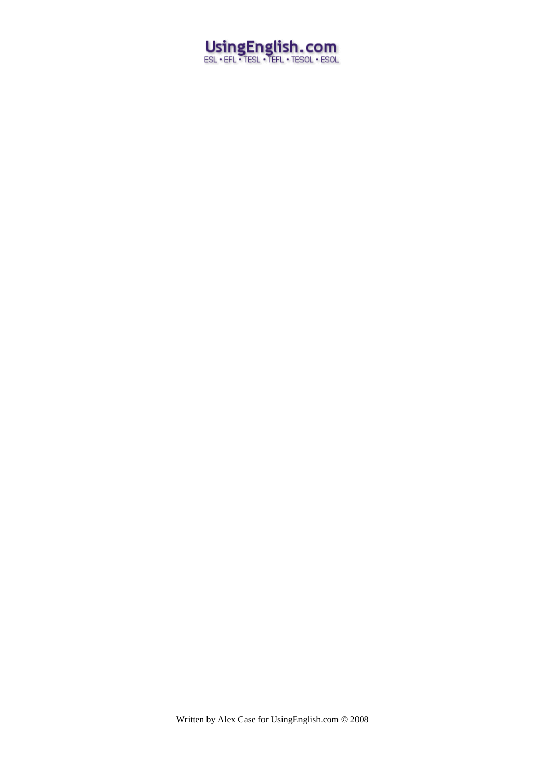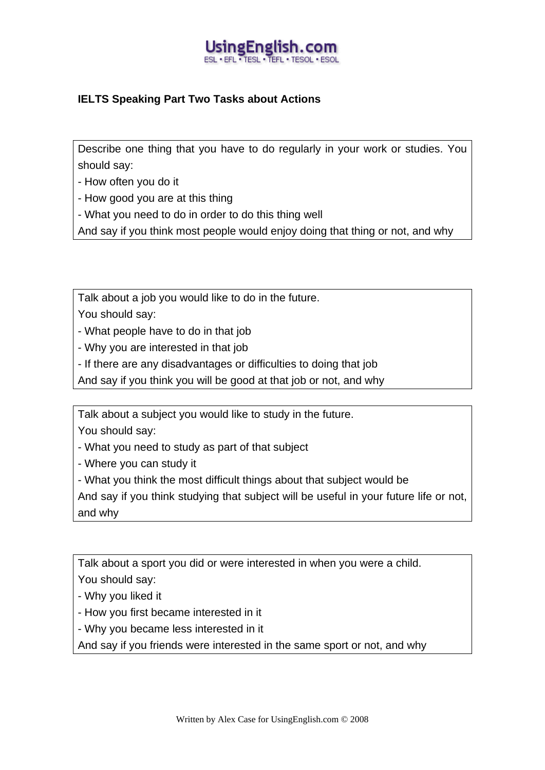

## **IELTS Speaking Part Two Tasks about Actions**

Describe one thing that you have to do regularly in your work or studies. You should say:

- How often you do it

- How good you are at this thing

- What you need to do in order to do this thing well

And say if you think most people would enjoy doing that thing or not, and why

Talk about a job you would like to do in the future.

You should say:

- What people have to do in that job

- Why you are interested in that job

- If there are any disadvantages or difficulties to doing that job

And say if you think you will be good at that job or not, and why

Talk about a subject you would like to study in the future.

You should say:

- What you need to study as part of that subject

- Where you can study it

- What you think the most difficult things about that subject would be

And say if you think studying that subject will be useful in your future life or not, and why

Talk about a sport you did or were interested in when you were a child. You should say:

- Why you liked it

- How you first became interested in it
- Why you became less interested in it

And say if you friends were interested in the same sport or not, and why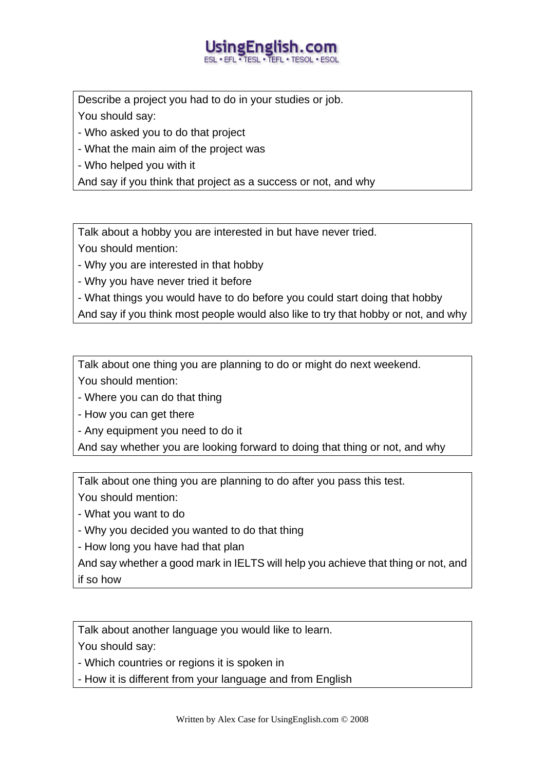# ingFnglish

Describe a project you had to do in your studies or job. You should say:

- Who asked you to do that project

- What the main aim of the project was

- Who helped you with it

And say if you think that project as a success or not, and why

Talk about a hobby you are interested in but have never tried.

You should mention:

- Why you are interested in that hobby

- Why you have never tried it before

- What things you would have to do before you could start doing that hobby

And say if you think most people would also like to try that hobby or not, and why

Talk about one thing you are planning to do or might do next weekend. You should mention:

- Where you can do that thing

- How you can get there

- Any equipment you need to do it

And say whether you are looking forward to doing that thing or not, and why

Talk about one thing you are planning to do after you pass this test.

You should mention:

- What you want to do

- Why you decided you wanted to do that thing

- How long you have had that plan

And say whether a good mark in IELTS will help you achieve that thing or not, and if so how

Talk about another language you would like to learn.

You should say:

- Which countries or regions it is spoken in

- How it is different from your language and from English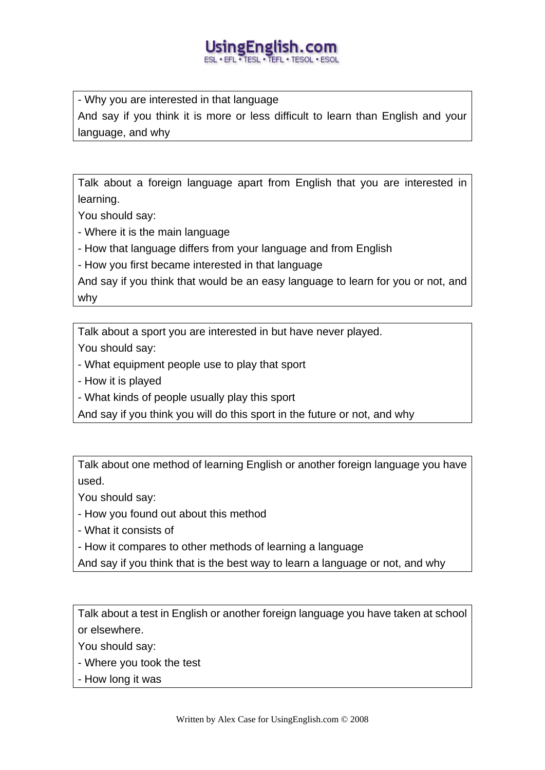- Why you are interested in that language

And say if you think it is more or less difficult to learn than English and your language, and why

Talk about a foreign language apart from English that you are interested in learning.

You should say:

- Where it is the main language

- How that language differs from your language and from English

- How you first became interested in that language

And say if you think that would be an easy language to learn for you or not, and why

Talk about a sport you are interested in but have never played.

You should say:

- What equipment people use to play that sport

- How it is played

- What kinds of people usually play this sport

And say if you think you will do this sport in the future or not, and why

Talk about one method of learning English or another foreign language you have used.

You should say:

- How you found out about this method

- What it consists of

- How it compares to other methods of learning a language

And say if you think that is the best way to learn a language or not, and why

Talk about a test in English or another foreign language you have taken at school or elsewhere.

You should say:

- Where you took the test
- How long it was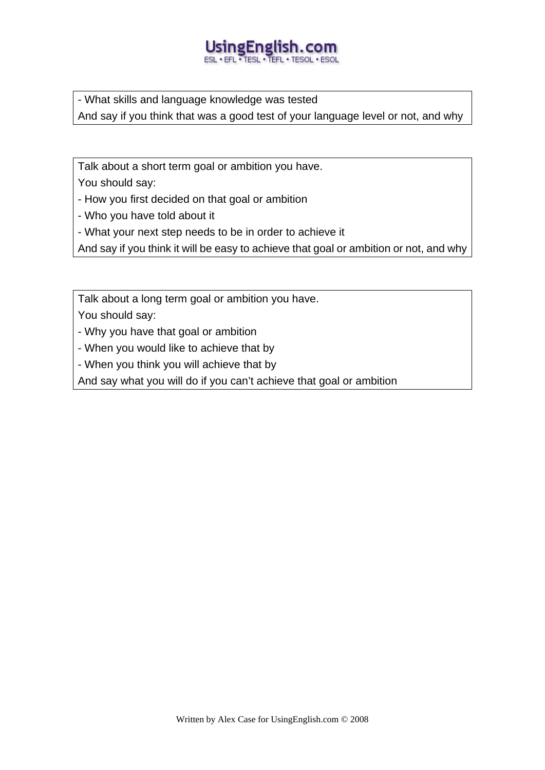#### lsingEnglish.co . TESL . TEFL . TESOL . ES

- What skills and language knowledge was tested And say if you think that was a good test of your language level or not, and why

Talk about a short term goal or ambition you have.

You should say:

- How you first decided on that goal or ambition

- Who you have told about it

- What your next step needs to be in order to achieve it

And say if you think it will be easy to achieve that goal or ambition or not, and why

Talk about a long term goal or ambition you have.

You should say:

- Why you have that goal or ambition

- When you would like to achieve that by

- When you think you will achieve that by

And say what you will do if you can't achieve that goal or ambition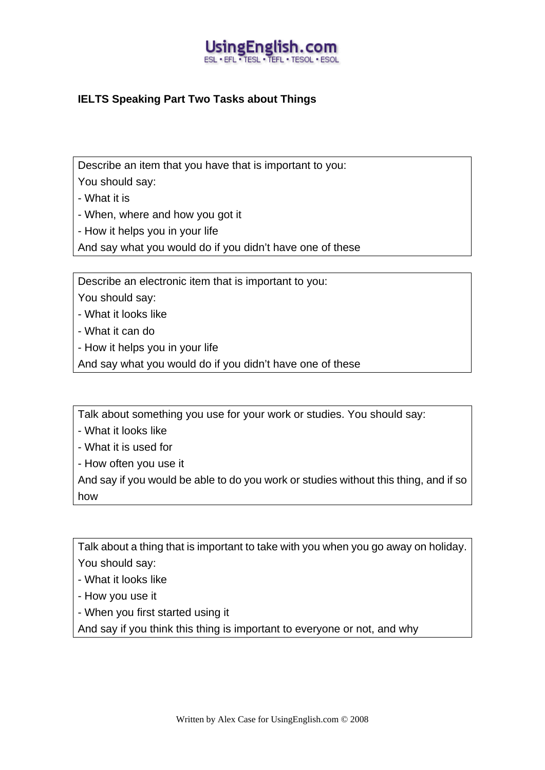

## **IELTS Speaking Part Two Tasks about Things**

Describe an item that you have that is important to you:

You should say:

- What it is

- When, where and how you got it

- How it helps you in your life

And say what you would do if you didn't have one of these

Describe an electronic item that is important to you:

You should say:

- What it looks like

- What it can do

- How it helps you in your life

And say what you would do if you didn't have one of these

Talk about something you use for your work or studies. You should say:

- What it looks like

- What it is used for

- How often you use it

And say if you would be able to do you work or studies without this thing, and if so how

Talk about a thing that is important to take with you when you go away on holiday. You should say:

- What it looks like

- How you use it

- When you first started using it

And say if you think this thing is important to everyone or not, and why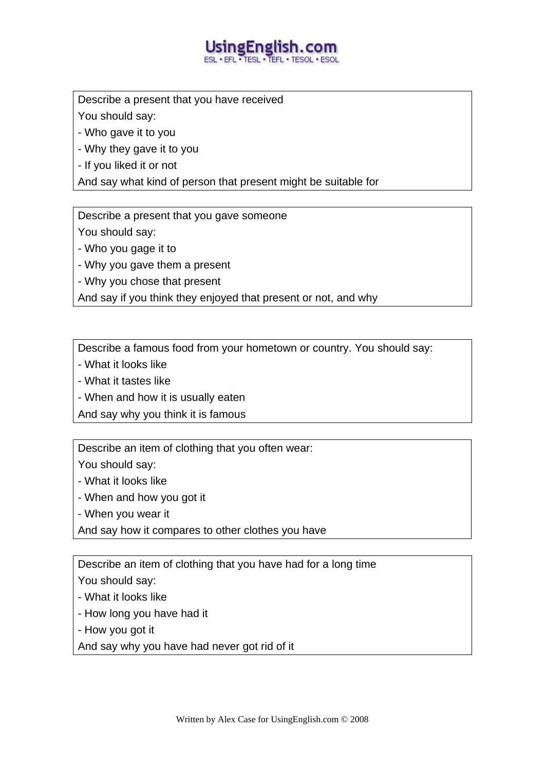#### <u>Ising English</u> TESL . TEEL . TESOL . P

Describe a present that you have received

You should say:

- Who gave it to you

- Why they gave it to you

- If you liked it or not

And say what kind of person that present might be suitable for

Describe a present that you gave someone

You should say:

- Who you gage it to

- Why you gave them a present

- Why you chose that present

And say if you think they enjoyed that present or not, and why

Describe a famous food from your hometown or country. You should say:

- What it looks like
- What it tastes like
- When and how it is usually eaten

And say why you think it is famous

Describe an item of clothing that you often wear:

You should say:

- What it looks like
- When and how you got it
- When you wear it

And say how it compares to other clothes you have

Describe an item of clothing that you have had for a long time

You should say:

- What it looks like
- How long you have had it

- How you got it

And say why you have had never got rid of it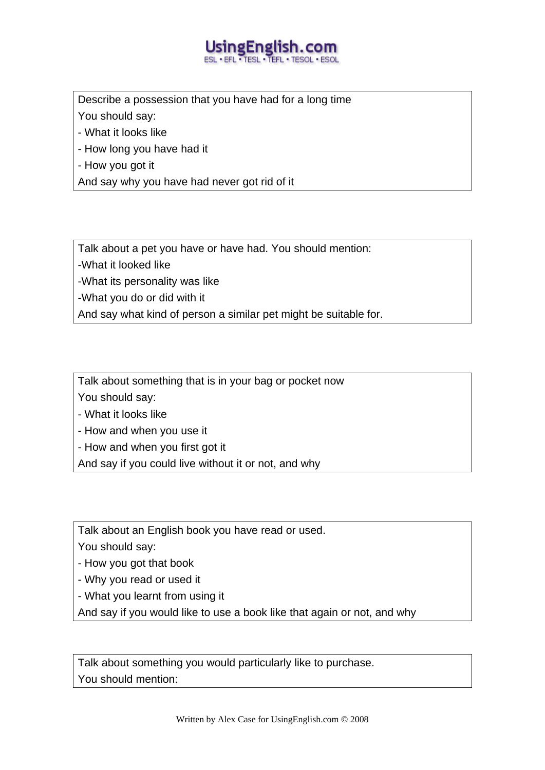# ingEnglish

Describe a possession that you have had for a long time You should say: - What it looks like

- How long you have had it

- How you got it

And say why you have had never got rid of it

Talk about a pet you have or have had. You should mention:

-What it looked like

-What its personality was like

-What you do or did with it

And say what kind of person a similar pet might be suitable for.

Talk about something that is in your bag or pocket now

You should say:

- What it looks like

- How and when you use it

- How and when you first got it

And say if you could live without it or not, and why

Talk about an English book you have read or used.

You should say:

- How you got that book

- Why you read or used it
- What you learnt from using it

And say if you would like to use a book like that again or not, and why

Talk about something you would particularly like to purchase. You should mention: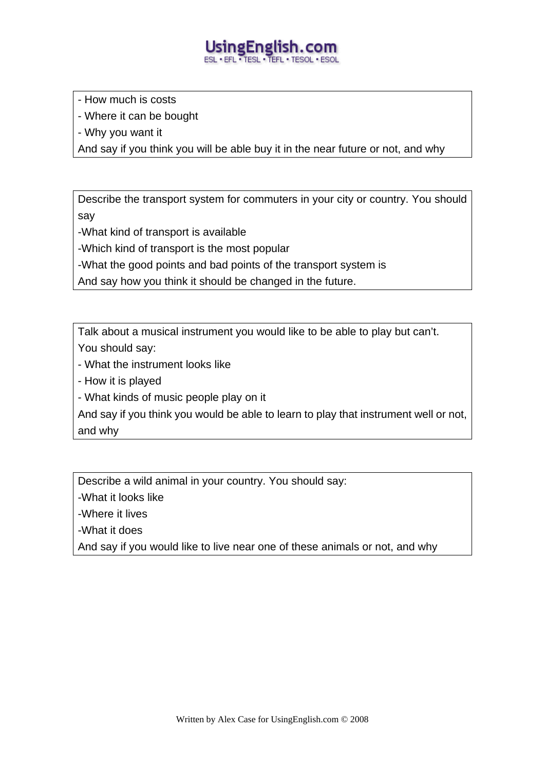#### ingEnglish TESL . TEEL . TESOL

- How much is costs
- Where it can be bought

- Why you want it

And say if you think you will be able buy it in the near future or not, and why

Describe the transport system for commuters in your city or country. You should say

-What kind of transport is available

- -Which kind of transport is the most popular
- -What the good points and bad points of the transport system is
- And say how you think it should be changed in the future.

Talk about a musical instrument you would like to be able to play but can't. You should say:

- What the instrument looks like
- How it is played
- What kinds of music people play on it

And say if you think you would be able to learn to play that instrument well or not, and why

Describe a wild animal in your country. You should say:

-What it looks like

-Where it lives

-What it does

And say if you would like to live near one of these animals or not, and why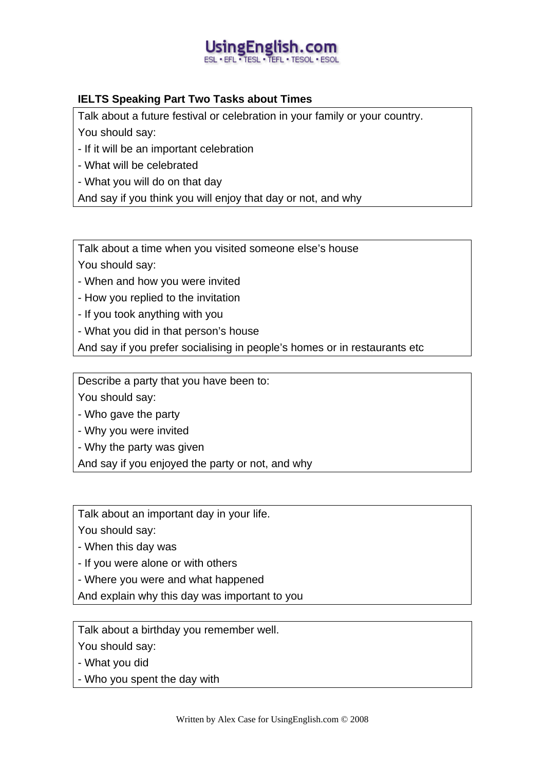## singEnglish TESL . TEEL . TESOL

## **IELTS Speaking Part Two Tasks about Times**

Talk about a future festival or celebration in your family or your country. You should say:

- If it will be an important celebration

- What will be celebrated

- What you will do on that day

And say if you think you will enjoy that day or not, and why

Talk about a time when you visited someone else's house You should say:

- When and how you were invited

- How you replied to the invitation

- If you took anything with you

- What you did in that person's house

And say if you prefer socialising in people's homes or in restaurants etc

Describe a party that you have been to:

You should say:

- Who gave the party

- Why you were invited

- Why the party was given

And say if you enjoyed the party or not, and why

Talk about an important day in your life.

You should say:

- When this day was
- If you were alone or with others
- Where you were and what happened

And explain why this day was important to you

Talk about a birthday you remember well.

You should say:

- What you did

- Who you spent the day with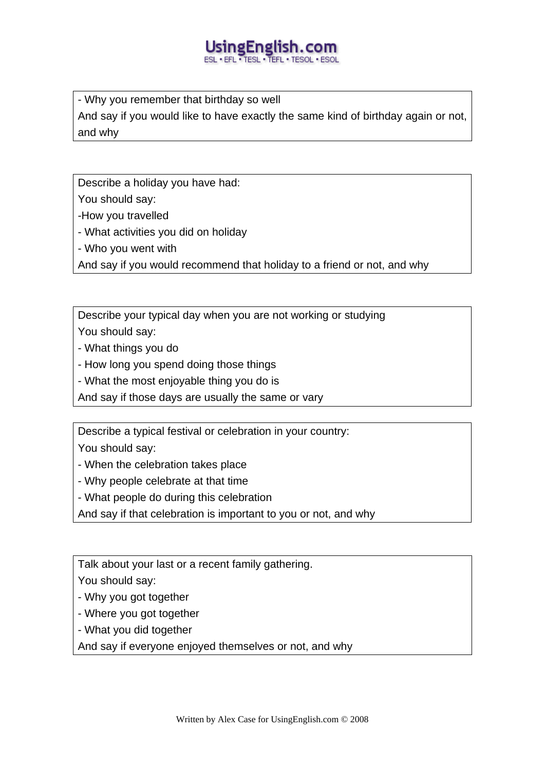#### singEnglish. FFI . TESL . TEFL . TESOL . P

- Why you remember that birthday so well And say if you would like to have exactly the same kind of birthday again or not, and why

Describe a holiday you have had:

You should say:

-How you travelled

- What activities you did on holiday

- Who you went with

And say if you would recommend that holiday to a friend or not, and why

Describe your typical day when you are not working or studying You should say:

- What things you do

- How long you spend doing those things

- What the most enjoyable thing you do is

And say if those days are usually the same or vary

Describe a typical festival or celebration in your country:

You should say:

- When the celebration takes place

- Why people celebrate at that time

- What people do during this celebration

And say if that celebration is important to you or not, and why

Talk about your last or a recent family gathering.

You should say:

- Why you got together

- Where you got together

- What you did together

And say if everyone enjoyed themselves or not, and why